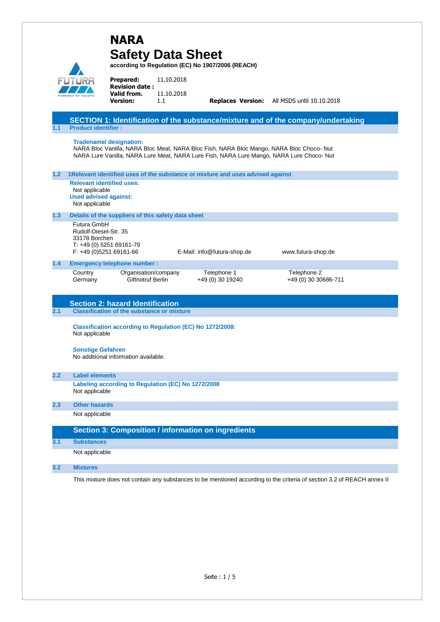|                  |                                                                                                      | <b>NARA</b><br><b>Safety Data Sheet</b>                                     |                                 | according to Regulation (EC) No 1907/2006 (REACH)                                                                                                                                   |                                                                                   |
|------------------|------------------------------------------------------------------------------------------------------|-----------------------------------------------------------------------------|---------------------------------|-------------------------------------------------------------------------------------------------------------------------------------------------------------------------------------|-----------------------------------------------------------------------------------|
|                  |                                                                                                      | <b>Prepared:</b><br><b>Revision date:</b><br>Valid from.<br><b>Version:</b> | 11.10.2018<br>11.10.2018<br>1.1 |                                                                                                                                                                                     | Replaces Version: All MSDS until 10.10.2018                                       |
| 1.1              | <b>Product identifier:</b>                                                                           |                                                                             |                                 |                                                                                                                                                                                     | SECTION 1: Identification of the substance/mixture and of the company/undertaking |
|                  |                                                                                                      | <b>Tradename/ designation:</b>                                              |                                 | NARA Bloc Vanilla, NARA Bloc Meat, NARA Bloc Fish, NARA Bloc Mango, NARA Bloc Choco-Nut<br>NARA Lure Vanilla, NARA Lure Meat, NARA Lure Fish, NARA Lure Mango, NARA Lure Choco- Nut |                                                                                   |
| 1.2 <sub>2</sub> |                                                                                                      |                                                                             |                                 | 1Relevant identified uses of the substance or mixture and uses advised against                                                                                                      |                                                                                   |
|                  | <b>Relevant identified uses:</b><br>Not applicable<br><b>Used advised against:</b><br>Not applicable |                                                                             |                                 |                                                                                                                                                                                     |                                                                                   |
| 1.3              |                                                                                                      | Details of the suppliers of this safety data sheet                          |                                 |                                                                                                                                                                                     |                                                                                   |
|                  | Futura GmbH<br>Rudolf-Diesel-Str. 35<br>33178 Borchen                                                | T: +49 (0) 5251 69161-79<br>$F: +49(0)525169161-66$                         |                                 | E-Mail: info@futura-shop.de                                                                                                                                                         | www.futura-shop.de                                                                |
| 1.4              |                                                                                                      | <b>Emergency telephone number:</b>                                          |                                 |                                                                                                                                                                                     |                                                                                   |
|                  | Country<br>Germany                                                                                   | Organisation/company<br>Giftnotruf Berlin                                   |                                 | Telephone 1<br>+49 (0) 30 19240                                                                                                                                                     | Telephone 2<br>+49 (0) 30 30686-711                                               |
|                  |                                                                                                      | <b>Section 2: hazard Identification</b>                                     |                                 |                                                                                                                                                                                     |                                                                                   |
| 2.1              |                                                                                                      | <b>Classification of the substance or mixture</b>                           |                                 |                                                                                                                                                                                     |                                                                                   |
|                  | Not applicable                                                                                       | <b>Classification according to Regulation (EC) No 1272/2008:</b>            |                                 |                                                                                                                                                                                     |                                                                                   |
|                  | <b>Sonstige Gefahren</b>                                                                             | No additional information available.                                        |                                 |                                                                                                                                                                                     |                                                                                   |
| 2.2              | <b>Label elements</b>                                                                                |                                                                             |                                 |                                                                                                                                                                                     |                                                                                   |
|                  | Not applicable                                                                                       | Labeling according to Regulation (EC) No 1272/2008                          |                                 |                                                                                                                                                                                     |                                                                                   |
| 2.3              | <b>Other hazards</b>                                                                                 |                                                                             |                                 |                                                                                                                                                                                     |                                                                                   |
|                  | Not applicable                                                                                       |                                                                             |                                 |                                                                                                                                                                                     |                                                                                   |
|                  |                                                                                                      |                                                                             |                                 | <b>Section 3: Composition / information on ingredients</b>                                                                                                                          |                                                                                   |
| 3.1              | <b>Substances</b>                                                                                    |                                                                             |                                 |                                                                                                                                                                                     |                                                                                   |
|                  | Not applicable                                                                                       |                                                                             |                                 |                                                                                                                                                                                     |                                                                                   |
| 3.2              | <b>Mixtures</b>                                                                                      |                                                                             |                                 |                                                                                                                                                                                     |                                                                                   |
|                  |                                                                                                      |                                                                             |                                 |                                                                                                                                                                                     |                                                                                   |

This mixture does not contain any substances to be mentioned according to the criteria of section 3.2 of REACH annex II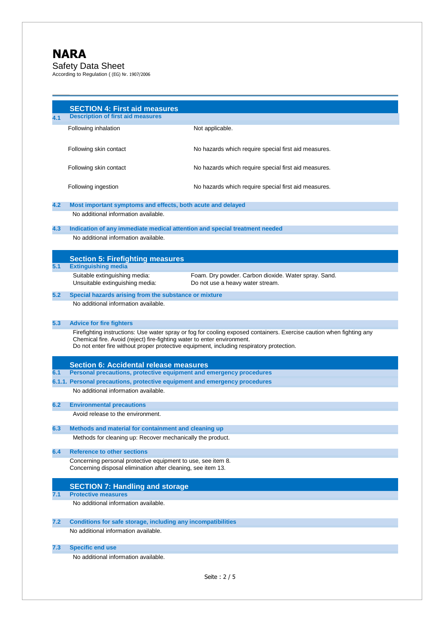# **NARA**

Safety Data Sheet According to Regulation ( (EG) Nr. 1907/2006

**SECTION 4: First aid measures 4.1 Description of first aid measures** Following inhalation Not applicable. Following skin contact **No hazards which require special first aid measures.** Following skin contact No hazards which require special first aid measures. Following ingestion **No hazards which require special first aid measures. 4.2 Most important symptoms and effects, both acute and delayed** No additional information available. **4.3 Indication of any immediate medical attention and special treatment needed** No additional information available. **Section 5: Firefighting measures 5.1 Extinguishing media** Suitable extinguishing media: Foam. Dry powder. Carbon dioxide. Water spray. Sand. Unsuitable extinguishing media: Do not use a heavy water stream. **5.2 Special hazards arising from the substance or mixture** No additional information available. **5.3 Advice for fire fighters** Firefighting instructions: Use water spray or fog for cooling exposed containers. Exercise caution when fighting any Chemical fire. Avoid (reject) fire-fighting water to enter environment. Do not enter fire without proper protective equipment, including respiratory protection. **Section 6: Accidental release measures 6.1 Personal precautions, protective equipment and emergency procedures 6.1.1. Personal precautions, protective equipment and emergency procedures** No additional information available. **6.2 Environmental precautions** Avoid release to the environment. **6.3 Methods and material for containment and cleaning up** Methods for cleaning up: Recover mechanically the product. **6.4 Reference to other sections** Concerning personal protective equipment to use, see item 8. Concerning disposal elimination after cleaning, see item 13. **SECTION 7: Handling and storage 7.1 Protective measures** No additional information available. **7.2 Conditions for safe storage, including any incompatibilities** No additional information available. **7.3 Specific end use** No additional information available.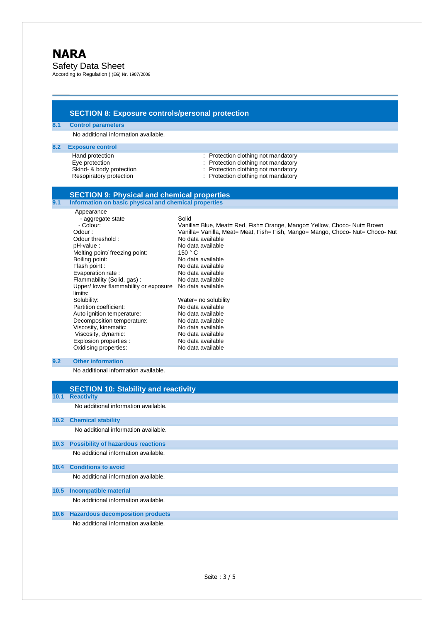Safety Data Sheet According to Regulation ( (EG) Nr. 1907/2006

**SECTION 8: Exposure controls/personal protection 8.1 Control parameters** No additional information available. **8.2 Exposure control** Hand protection : Protection : Protection clothing not mandatory<br>Eye protection : Protection clothing not mandatory<br>contract : Protection clothing not mandatory : Protection clothing not mandatory Skind- & body protection <br>
Resopiratory protection 
<br>
Protection clothing not mandatory<br>
Protection clothing not mandatory Protection clothing not mandatory **SECTION 9: Physical and chemical properties 9.1 Information on basic physical and chemical properties** Appearance - aggregate state Solid - Colour: Vanilla= Blue, Meat= Red, Fish= Orange, Mango= Yellow, Choco- Nut= Brown<br>Vanilla= Vanilla, Meat= Meat, Fish= Fish, Mango= Mango, Choco- Nut= Choco Vanilla= Vanilla, Meat= Meat, Fish= Fish, Mango= Mango, Choco- Nut= Choco- Nut<br>No data available Odour threshold :<br>pH-value : No data available Melting point/ freezing point: 150 ° C Boiling point:<br>
Flash point:<br>
No data available<br>
No data available No data available Evaporation rate :<br>
Flammability (Solid, gas) : No data available  $F$ lammability (Solid, gas): Upper/ lower flammability or exposure No data available limits: Solubility:<br>
Partition coefficient:<br>
No data available<br>
No data available Partition coefficient:<br>
Auto ignition temperature: 
No data available Auto ignition temperature:<br>
Decomposition temperature: No data available Decomposition temperature: No data available<br>Viscosity, kinematic: No data available Viscosity, kinematic: No data available<br>Viscosity, dynamic: No data available Viscosity, dynamic: No data available<br>
Fxplosion properties<br>
No data available Explosion properties : Oxidising properties: No data available **9.2 Other information** No additional information available. **SECTION 10: Stability and reactivity 10.1 Reactivity** No additional information available. **10.2 Chemical stability**  No additional information available. **10.3 Possibility of hazardous reactions** No additional information available. **10.4 Conditions to avoid** No additional information available. **10.5 Incompatible material** No additional information available. **10.6 Hazardous decomposition products**  No additional information available.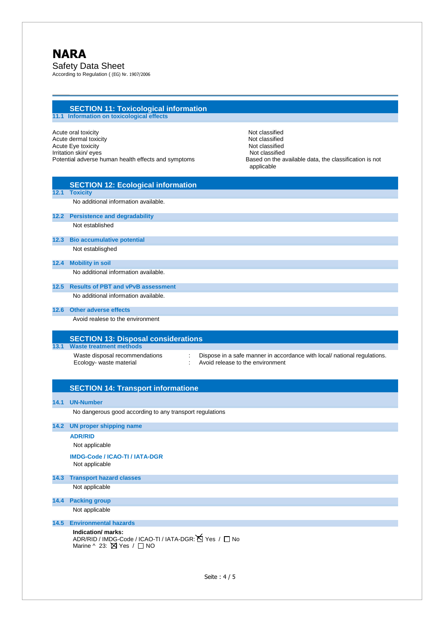## **SECTION 11: Toxicological information 11.1 Information on toxicological effects**

Acute oral toxicity<br>
Acute dermal toxicity<br>
Acute dermal toxicity<br>
Not classified Acute dermal toxicity Note and The Control of the Control of the Not classified Acute Eye toxicity Note and the Contract of the Contract of the Not classified Irritation skin/eyes Not classified Potential adverse human health effects and symptoms Based on the available data, the classification is not

applicable

|      | <b>SECTION 12: Ecological information</b>                                                                                                                                      |  |  |  |  |  |
|------|--------------------------------------------------------------------------------------------------------------------------------------------------------------------------------|--|--|--|--|--|
| 12.1 | <b>Toxicity</b>                                                                                                                                                                |  |  |  |  |  |
|      | No additional information available.                                                                                                                                           |  |  |  |  |  |
|      | 12.2 Persistence and degradability                                                                                                                                             |  |  |  |  |  |
|      | Not established                                                                                                                                                                |  |  |  |  |  |
| 12.3 | <b>Bio accumulative potential</b>                                                                                                                                              |  |  |  |  |  |
|      | Not establisghed                                                                                                                                                               |  |  |  |  |  |
| 12.4 | <b>Mobility in soil</b>                                                                                                                                                        |  |  |  |  |  |
|      | No additional information available.                                                                                                                                           |  |  |  |  |  |
| 12.5 | <b>Results of PBT and vPvB assessment</b>                                                                                                                                      |  |  |  |  |  |
|      | No additional information available.                                                                                                                                           |  |  |  |  |  |
| 12.6 | <b>Other adverse effects</b>                                                                                                                                                   |  |  |  |  |  |
|      | Avoid realese to the environment                                                                                                                                               |  |  |  |  |  |
|      | <b>SECTION 13: Disposal considerations</b>                                                                                                                                     |  |  |  |  |  |
| 13.1 | <b>Waste treatment methods</b>                                                                                                                                                 |  |  |  |  |  |
|      | Waste disposal recommendations<br>Dispose in a safe manner in accordance with local/ national regulations.<br>÷<br>Avoid release to the environment<br>Ecology- waste material |  |  |  |  |  |
| 14.1 | <b>SECTION 14: Transport informatione</b><br><b>UN-Number</b>                                                                                                                  |  |  |  |  |  |
|      | No dangerous good according to any transport regulations                                                                                                                       |  |  |  |  |  |
| 14.2 | <b>UN proper shipping name</b>                                                                                                                                                 |  |  |  |  |  |
|      | <b>ADR/RID</b>                                                                                                                                                                 |  |  |  |  |  |
|      | Not applicable                                                                                                                                                                 |  |  |  |  |  |
|      | <b>IMDG-Code / ICAO-TI / IATA-DGR</b><br>Not applicable                                                                                                                        |  |  |  |  |  |
| 14.3 | <b>Transport hazard classes</b>                                                                                                                                                |  |  |  |  |  |
|      | Not applicable                                                                                                                                                                 |  |  |  |  |  |
| 14.4 | <b>Packing group</b>                                                                                                                                                           |  |  |  |  |  |
|      | Not applicable                                                                                                                                                                 |  |  |  |  |  |
| 14.5 | <b>Environmental hazards</b>                                                                                                                                                   |  |  |  |  |  |
|      | Indication/ marks:<br>ADR/RID / IMDG-Code / ICAO-TI / IATA-DGR: Y Yes / □ No<br>Marine ^ 23: Ø Yes / □ NO                                                                      |  |  |  |  |  |
|      |                                                                                                                                                                                |  |  |  |  |  |